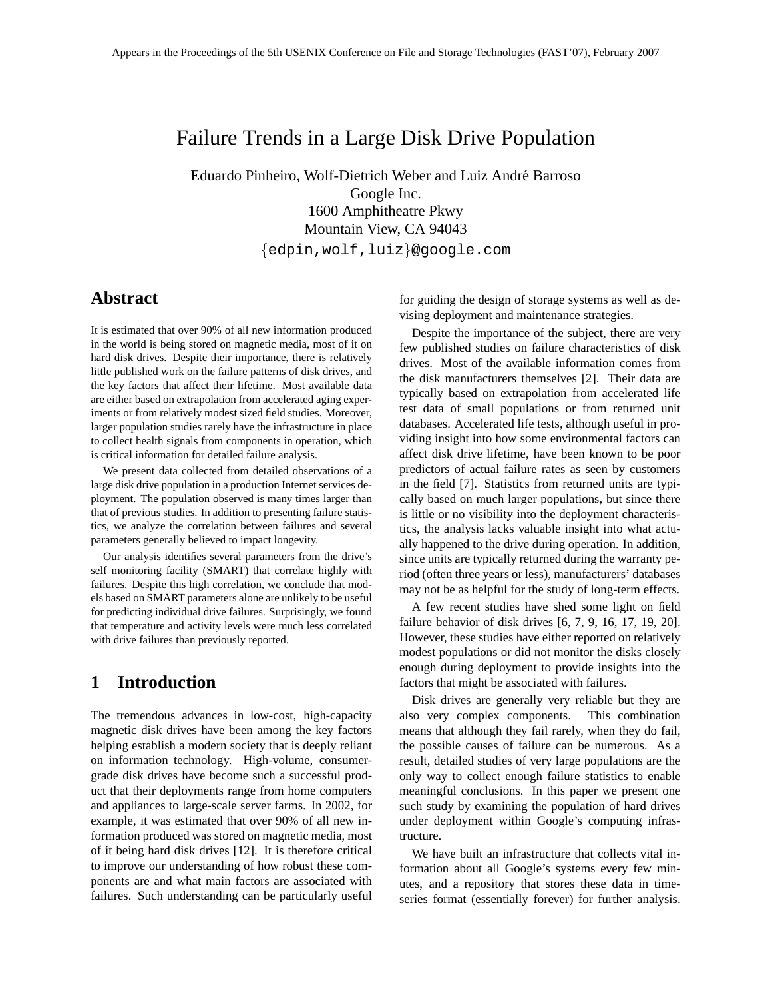# Failure Trends in a Large Disk Drive Population

Eduardo Pinheiro, Wolf-Dietrich Weber and Luiz Andre Barroso ´ Google Inc. 1600 Amphitheatre Pkwy Mountain View, CA 94043

{edpin,wolf,luiz}@google.com

## **Abstract**

It is estimated that over 90% of all new information produced in the world is being stored on magnetic media, most of it on hard disk drives. Despite their importance, there is relatively little published work on the failure patterns of disk drives, and the key factors that affect their lifetime. Most available data are either based on extrapolation from accelerated aging experiments or from relatively modest sized field studies. Moreover, larger population studies rarely have the infrastructure in place to collect health signals from components in operation, which is critical information for detailed failure analysis.

We present data collected from detailed observations of a large disk drive population in a production Internet services deployment. The population observed is many times larger than that of previous studies. In addition to presenting failure statistics, we analyze the correlation between failures and several parameters generally believed to impact longevity.

Our analysis identifies several parameters from the drive's self monitoring facility (SMART) that correlate highly with failures. Despite this high correlation, we conclude that models based on SMART parameters alone are unlikely to be useful for predicting individual drive failures. Surprisingly, we found that temperature and activity levels were much less correlated with drive failures than previously reported.

## **1 Introduction**

The tremendous advances in low-cost, high-capacity magnetic disk drives have been among the key factors helping establish a modern society that is deeply reliant on information technology. High-volume, consumergrade disk drives have become such a successful product that their deployments range from home computers and appliances to large-scale server farms. In 2002, for example, it was estimated that over 90% of all new information produced was stored on magnetic media, most of it being hard disk drives [12]. It is therefore critical to improve our understanding of how robust these components are and what main factors are associated with failures. Such understanding can be particularly useful for guiding the design of storage systems as well as devising deployment and maintenance strategies.

Despite the importance of the subject, there are very few published studies on failure characteristics of disk drives. Most of the available information comes from the disk manufacturers themselves [2]. Their data are typically based on extrapolation from accelerated life test data of small populations or from returned unit databases. Accelerated life tests, although useful in providing insight into how some environmental factors can affect disk drive lifetime, have been known to be poor predictors of actual failure rates as seen by customers in the field [7]. Statistics from returned units are typically based on much larger populations, but since there is little or no visibility into the deployment characteristics, the analysis lacks valuable insight into what actually happened to the drive during operation. In addition, since units are typically returned during the warranty period (often three years or less), manufacturers' databases may not be as helpful for the study of long-term effects.

A few recent studies have shed some light on field failure behavior of disk drives [6, 7, 9, 16, 17, 19, 20]. However, these studies have either reported on relatively modest populations or did not monitor the disks closely enough during deployment to provide insights into the factors that might be associated with failures.

Disk drives are generally very reliable but they are also very complex components. This combination means that although they fail rarely, when they do fail, the possible causes of failure can be numerous. As a result, detailed studies of very large populations are the only way to collect enough failure statistics to enable meaningful conclusions. In this paper we present one such study by examining the population of hard drives under deployment within Google's computing infrastructure.

We have built an infrastructure that collects vital information about all Google's systems every few minutes, and a repository that stores these data in timeseries format (essentially forever) for further analysis.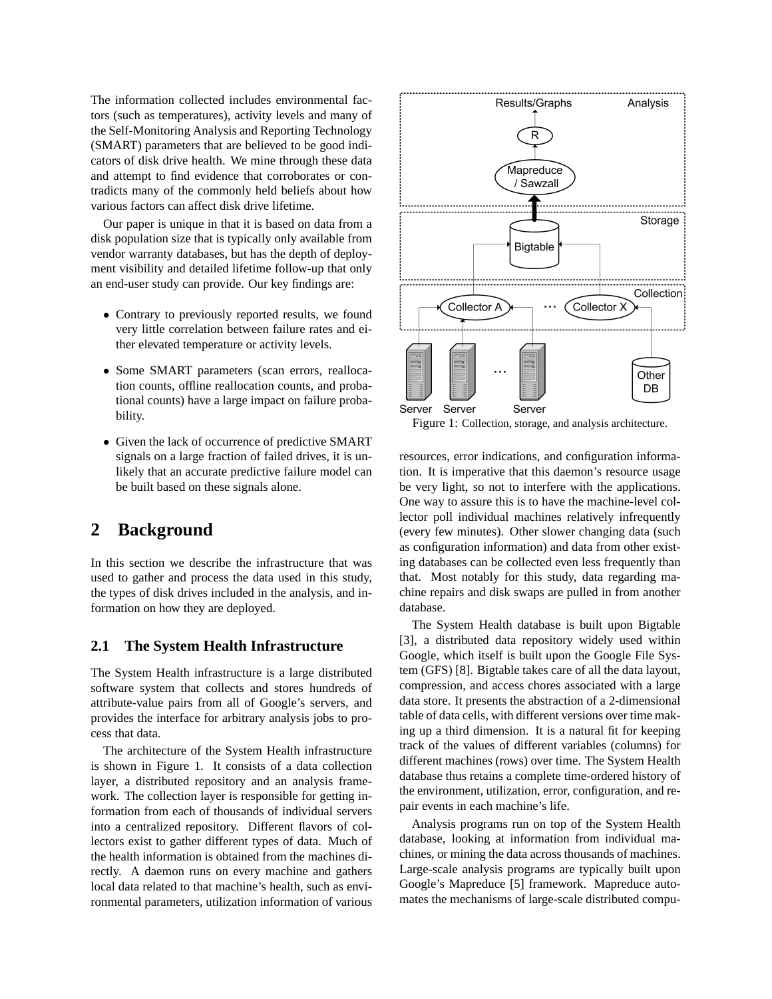The information collected includes environmental factors (such as temperatures), activity levels and many of the Self-Monitoring Analysis and Reporting Technology (SMART) parameters that are believed to be good indicators of disk drive health. We mine through these data and attempt to find evidence that corroborates or contradicts many of the commonly held beliefs about how various factors can affect disk drive lifetime.

Our paper is unique in that it is based on data from a disk population size that is typically only available from vendor warranty databases, but has the depth of deployment visibility and detailed lifetime follow-up that only an end-user study can provide. Our key findings are:

- Contrary to previously reported results, we found very little correlation between failure rates and either elevated temperature or activity levels.
- Some SMART parameters (scan errors, reallocation counts, offline reallocation counts, and probational counts) have a large impact on failure probability.
- Given the lack of occurrence of predictive SMART signals on a large fraction of failed drives, it is unlikely that an accurate predictive failure model can be built based on these signals alone.

## **2 Background**

In this section we describe the infrastructure that was used to gather and process the data used in this study, the types of disk drives included in the analysis, and information on how they are deployed.

### **2.1 The System Health Infrastructure**

The System Health infrastructure is a large distributed software system that collects and stores hundreds of attribute-value pairs from all of Google's servers, and provides the interface for arbitrary analysis jobs to process that data.

The architecture of the System Health infrastructure is shown in Figure 1. It consists of a data collection layer, a distributed repository and an analysis framework. The collection layer is responsible for getting information from each of thousands of individual servers into a centralized repository. Different flavors of collectors exist to gather different types of data. Much of the health information is obtained from the machines directly. A daemon runs on every machine and gathers local data related to that machine's health, such as environmental parameters, utilization information of various



Figure 1: Collection, storage, and analysis architecture.

resources, error indications, and configuration information. It is imperative that this daemon's resource usage be very light, so not to interfere with the applications. One way to assure this is to have the machine-level collector poll individual machines relatively infrequently (every few minutes). Other slower changing data (such as configuration information) and data from other existing databases can be collected even less frequently than that. Most notably for this study, data regarding machine repairs and disk swaps are pulled in from another database.

The System Health database is built upon Bigtable [3], a distributed data repository widely used within Google, which itself is built upon the Google File System (GFS) [8]. Bigtable takes care of all the data layout, compression, and access chores associated with a large data store. It presents the abstraction of a 2-dimensional table of data cells, with different versions over time making up a third dimension. It is a natural fit for keeping track of the values of different variables (columns) for different machines (rows) over time. The System Health database thus retains a complete time-ordered history of the environment, utilization, error, configuration, and repair events in each machine's life.

Analysis programs run on top of the System Health database, looking at information from individual machines, or mining the data across thousands of machines. Large-scale analysis programs are typically built upon Google's Mapreduce [5] framework. Mapreduce automates the mechanisms of large-scale distributed compu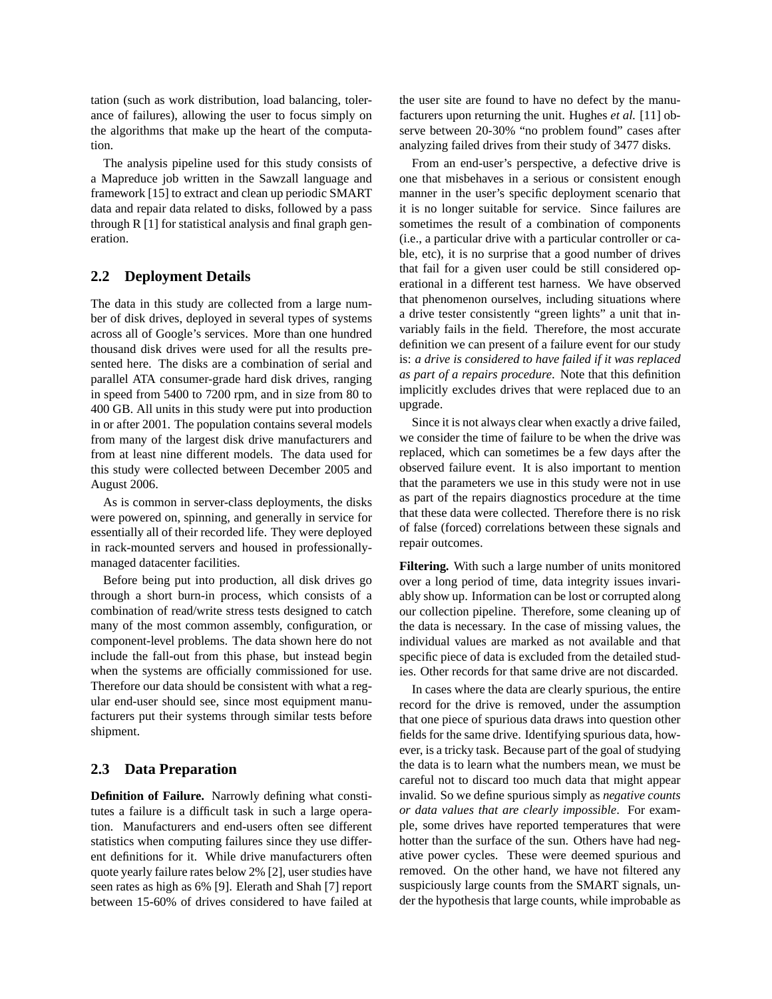tation (such as work distribution, load balancing, tolerance of failures), allowing the user to focus simply on the algorithms that make up the heart of the computation.

The analysis pipeline used for this study consists of a Mapreduce job written in the Sawzall language and framework [15] to extract and clean up periodic SMART data and repair data related to disks, followed by a pass through R [1] for statistical analysis and final graph generation.

### **2.2 Deployment Details**

The data in this study are collected from a large number of disk drives, deployed in several types of systems across all of Google's services. More than one hundred thousand disk drives were used for all the results presented here. The disks are a combination of serial and parallel ATA consumer-grade hard disk drives, ranging in speed from 5400 to 7200 rpm, and in size from 80 to 400 GB. All units in this study were put into production in or after 2001. The population contains several models from many of the largest disk drive manufacturers and from at least nine different models. The data used for this study were collected between December 2005 and August 2006.

As is common in server-class deployments, the disks were powered on, spinning, and generally in service for essentially all of their recorded life. They were deployed in rack-mounted servers and housed in professionallymanaged datacenter facilities.

Before being put into production, all disk drives go through a short burn-in process, which consists of a combination of read/write stress tests designed to catch many of the most common assembly, configuration, or component-level problems. The data shown here do not include the fall-out from this phase, but instead begin when the systems are officially commissioned for use. Therefore our data should be consistent with what a regular end-user should see, since most equipment manufacturers put their systems through similar tests before shipment.

### **2.3 Data Preparation**

**Definition of Failure.** Narrowly defining what constitutes a failure is a difficult task in such a large operation. Manufacturers and end-users often see different statistics when computing failures since they use different definitions for it. While drive manufacturers often quote yearly failure rates below 2% [2], user studies have seen rates as high as 6% [9]. Elerath and Shah [7] report between 15-60% of drives considered to have failed at

the user site are found to have no defect by the manufacturers upon returning the unit. Hughes *et al.* [11] observe between 20-30% "no problem found" cases after analyzing failed drives from their study of 3477 disks.

From an end-user's perspective, a defective drive is one that misbehaves in a serious or consistent enough manner in the user's specific deployment scenario that it is no longer suitable for service. Since failures are sometimes the result of a combination of components (i.e., a particular drive with a particular controller or cable, etc), it is no surprise that a good number of drives that fail for a given user could be still considered operational in a different test harness. We have observed that phenomenon ourselves, including situations where a drive tester consistently "green lights" a unit that invariably fails in the field. Therefore, the most accurate definition we can present of a failure event for our study is: *a drive is considered to have failed if it was replaced as part of a repairs procedure*. Note that this definition implicitly excludes drives that were replaced due to an upgrade.

Since it is not always clear when exactly a drive failed, we consider the time of failure to be when the drive was replaced, which can sometimes be a few days after the observed failure event. It is also important to mention that the parameters we use in this study were not in use as part of the repairs diagnostics procedure at the time that these data were collected. Therefore there is no risk of false (forced) correlations between these signals and repair outcomes.

**Filtering.** With such a large number of units monitored over a long period of time, data integrity issues invariably show up. Information can be lost or corrupted along our collection pipeline. Therefore, some cleaning up of the data is necessary. In the case of missing values, the individual values are marked as not available and that specific piece of data is excluded from the detailed studies. Other records for that same drive are not discarded.

In cases where the data are clearly spurious, the entire record for the drive is removed, under the assumption that one piece of spurious data draws into question other fields for the same drive. Identifying spurious data, however, is a tricky task. Because part of the goal of studying the data is to learn what the numbers mean, we must be careful not to discard too much data that might appear invalid. So we define spurious simply as *negative counts or data values that are clearly impossible*. For example, some drives have reported temperatures that were hotter than the surface of the sun. Others have had negative power cycles. These were deemed spurious and removed. On the other hand, we have not filtered any suspiciously large counts from the SMART signals, under the hypothesis that large counts, while improbable as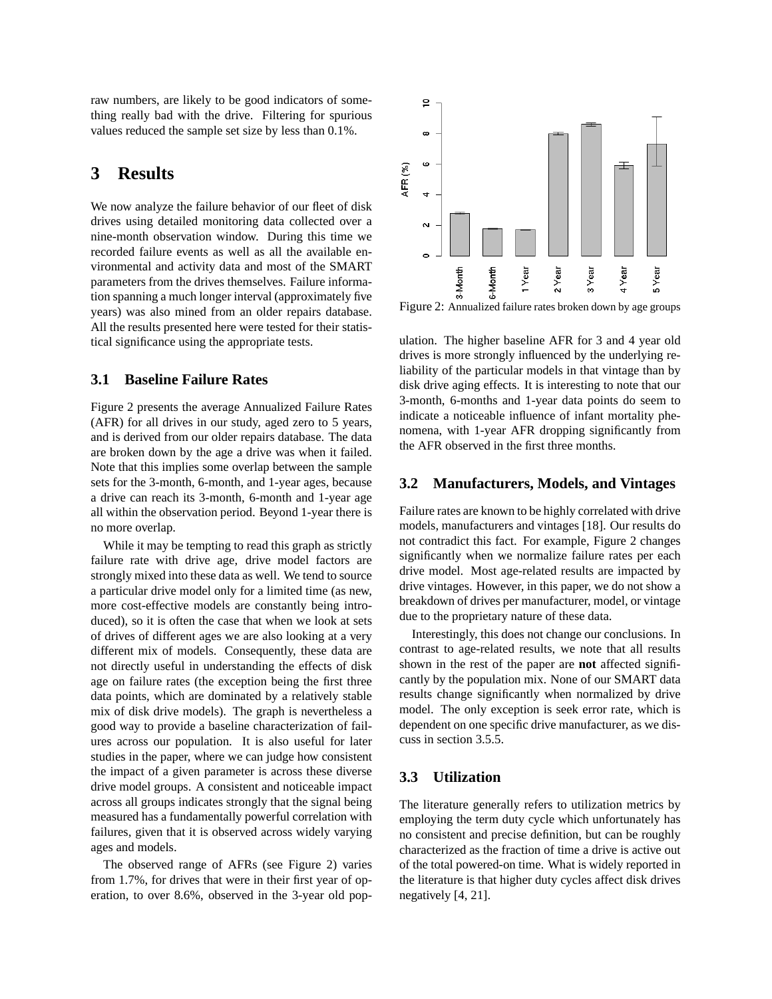raw numbers, are likely to be good indicators of something really bad with the drive. Filtering for spurious values reduced the sample set size by less than 0.1%.

## **3 Results**

We now analyze the failure behavior of our fleet of disk drives using detailed monitoring data collected over a nine-month observation window. During this time we recorded failure events as well as all the available environmental and activity data and most of the SMART parameters from the drives themselves. Failure information spanning a much longer interval (approximately five years) was also mined from an older repairs database. All the results presented here were tested for their statistical significance using the appropriate tests.

### **3.1 Baseline Failure Rates**

Figure 2 presents the average Annualized Failure Rates (AFR) for all drives in our study, aged zero to 5 years, and is derived from our older repairs database. The data are broken down by the age a drive was when it failed. Note that this implies some overlap between the sample sets for the 3-month, 6-month, and 1-year ages, because a drive can reach its 3-month, 6-month and 1-year age all within the observation period. Beyond 1-year there is no more overlap.

While it may be tempting to read this graph as strictly failure rate with drive age, drive model factors are strongly mixed into these data as well. We tend to source a particular drive model only for a limited time (as new, more cost-effective models are constantly being introduced), so it is often the case that when we look at sets of drives of different ages we are also looking at a very different mix of models. Consequently, these data are not directly useful in understanding the effects of disk age on failure rates (the exception being the first three data points, which are dominated by a relatively stable mix of disk drive models). The graph is nevertheless a good way to provide a baseline characterization of failures across our population. It is also useful for later studies in the paper, where we can judge how consistent the impact of a given parameter is across these diverse drive model groups. A consistent and noticeable impact across all groups indicates strongly that the signal being measured has a fundamentally powerful correlation with failures, given that it is observed across widely varying ages and models.

The observed range of AFRs (see Figure 2) varies from 1.7%, for drives that were in their first year of operation, to over 8.6%, observed in the 3-year old pop-



Figure 2: Annualized failure rates broken down by age groups

ulation. The higher baseline AFR for 3 and 4 year old drives is more strongly influenced by the underlying reliability of the particular models in that vintage than by disk drive aging effects. It is interesting to note that our 3-month, 6-months and 1-year data points do seem to indicate a noticeable influence of infant mortality phenomena, with 1-year AFR dropping significantly from the AFR observed in the first three months.

### **3.2 Manufacturers, Models, and Vintages**

Failure rates are known to be highly correlated with drive models, manufacturers and vintages [18]. Our results do not contradict this fact. For example, Figure 2 changes significantly when we normalize failure rates per each drive model. Most age-related results are impacted by drive vintages. However, in this paper, we do not show a breakdown of drives per manufacturer, model, or vintage due to the proprietary nature of these data.

Interestingly, this does not change our conclusions. In contrast to age-related results, we note that all results shown in the rest of the paper are **not** affected significantly by the population mix. None of our SMART data results change significantly when normalized by drive model. The only exception is seek error rate, which is dependent on one specific drive manufacturer, as we discuss in section 3.5.5.

### **3.3 Utilization**

The literature generally refers to utilization metrics by employing the term duty cycle which unfortunately has no consistent and precise definition, but can be roughly characterized as the fraction of time a drive is active out of the total powered-on time. What is widely reported in the literature is that higher duty cycles affect disk drives negatively [4, 21].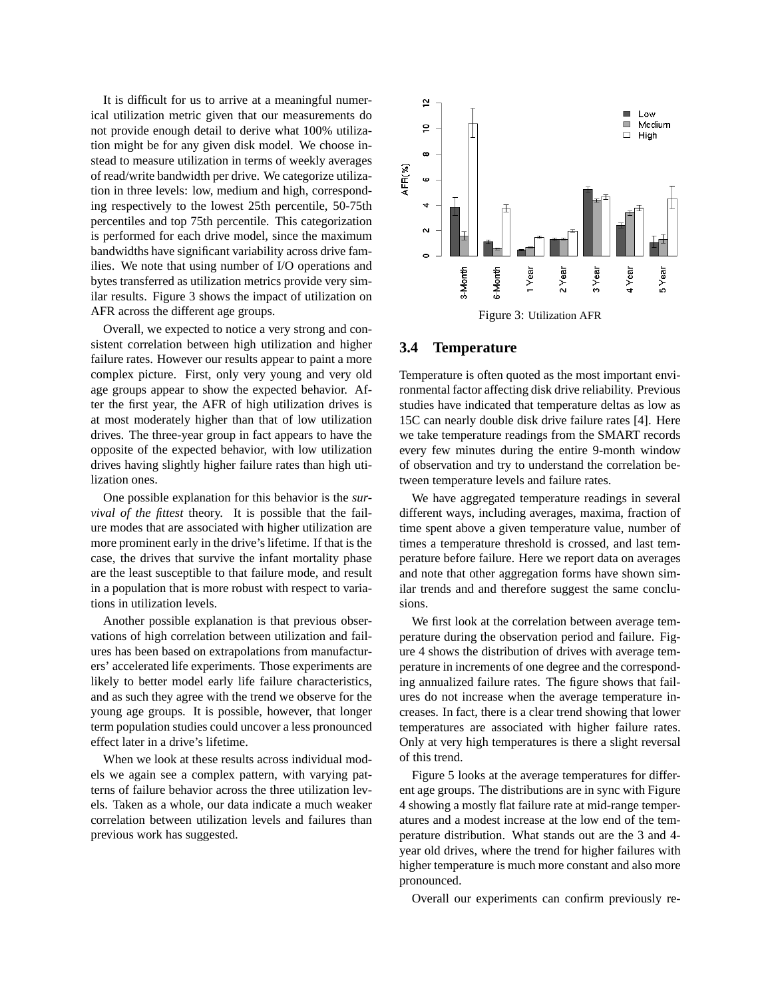It is difficult for us to arrive at a meaningful numerical utilization metric given that our measurements do not provide enough detail to derive what 100% utilization might be for any given disk model. We choose instead to measure utilization in terms of weekly averages of read/write bandwidth per drive. We categorize utilization in three levels: low, medium and high, corresponding respectively to the lowest 25th percentile, 50-75th percentiles and top 75th percentile. This categorization is performed for each drive model, since the maximum bandwidths have significant variability across drive families. We note that using number of I/O operations and bytes transferred as utilization metrics provide very similar results. Figure 3 shows the impact of utilization on AFR across the different age groups.

Overall, we expected to notice a very strong and consistent correlation between high utilization and higher failure rates. However our results appear to paint a more complex picture. First, only very young and very old age groups appear to show the expected behavior. After the first year, the AFR of high utilization drives is at most moderately higher than that of low utilization drives. The three-year group in fact appears to have the opposite of the expected behavior, with low utilization drives having slightly higher failure rates than high utilization ones.

One possible explanation for this behavior is the *survival of the fittest* theory. It is possible that the failure modes that are associated with higher utilization are more prominent early in the drive's lifetime. If that is the case, the drives that survive the infant mortality phase are the least susceptible to that failure mode, and result in a population that is more robust with respect to variations in utilization levels.

Another possible explanation is that previous observations of high correlation between utilization and failures has been based on extrapolations from manufacturers' accelerated life experiments. Those experiments are likely to better model early life failure characteristics, and as such they agree with the trend we observe for the young age groups. It is possible, however, that longer term population studies could uncover a less pronounced effect later in a drive's lifetime.

When we look at these results across individual models we again see a complex pattern, with varying patterns of failure behavior across the three utilization levels. Taken as a whole, our data indicate a much weaker correlation between utilization levels and failures than previous work has suggested.



#### **3.4 Temperature**

Temperature is often quoted as the most important environmental factor affecting disk drive reliability. Previous studies have indicated that temperature deltas as low as 15C can nearly double disk drive failure rates [4]. Here we take temperature readings from the SMART records every few minutes during the entire 9-month window of observation and try to understand the correlation between temperature levels and failure rates.

We have aggregated temperature readings in several different ways, including averages, maxima, fraction of time spent above a given temperature value, number of times a temperature threshold is crossed, and last temperature before failure. Here we report data on averages and note that other aggregation forms have shown similar trends and and therefore suggest the same conclusions.

We first look at the correlation between average temperature during the observation period and failure. Figure 4 shows the distribution of drives with average temperature in increments of one degree and the corresponding annualized failure rates. The figure shows that failures do not increase when the average temperature increases. In fact, there is a clear trend showing that lower temperatures are associated with higher failure rates. Only at very high temperatures is there a slight reversal of this trend.

Figure 5 looks at the average temperatures for different age groups. The distributions are in sync with Figure 4 showing a mostly flat failure rate at mid-range temperatures and a modest increase at the low end of the temperature distribution. What stands out are the 3 and 4 year old drives, where the trend for higher failures with higher temperature is much more constant and also more pronounced.

Overall our experiments can confirm previously re-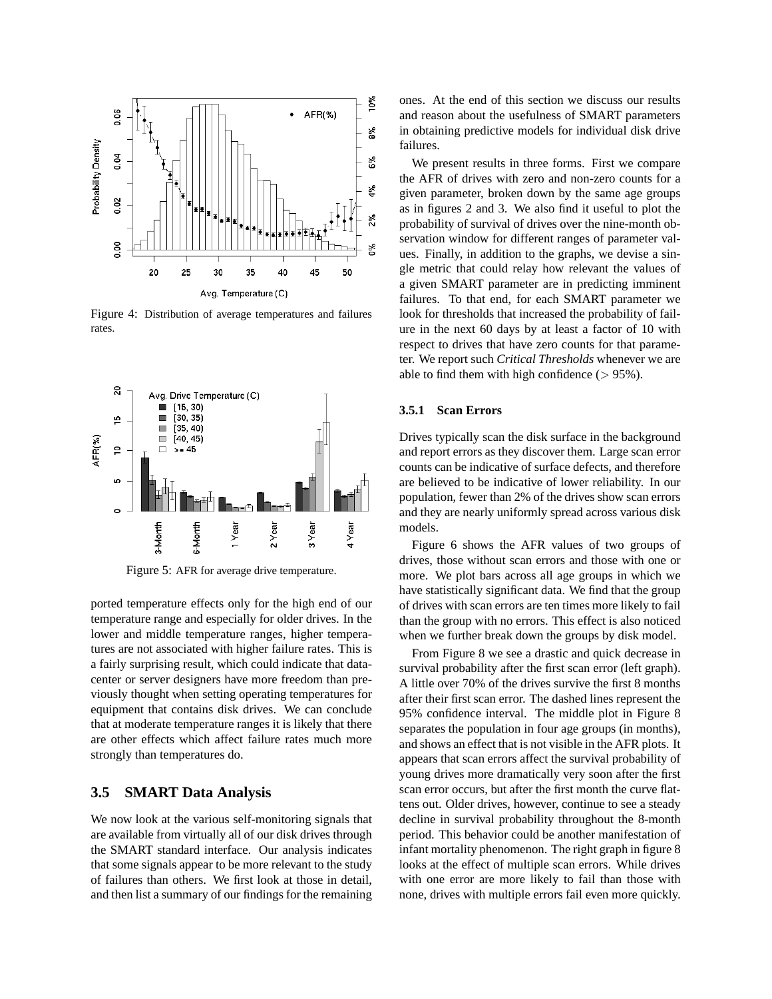

Figure 4: Distribution of average temperatures and failures rates.



Figure 5: AFR for average drive temperature.

ported temperature effects only for the high end of our temperature range and especially for older drives. In the lower and middle temperature ranges, higher temperatures are not associated with higher failure rates. This is a fairly surprising result, which could indicate that datacenter or server designers have more freedom than previously thought when setting operating temperatures for equipment that contains disk drives. We can conclude that at moderate temperature ranges it is likely that there are other effects which affect failure rates much more strongly than temperatures do.

### **3.5 SMART Data Analysis**

We now look at the various self-monitoring signals that are available from virtually all of our disk drives through the SMART standard interface. Our analysis indicates that some signals appear to be more relevant to the study of failures than others. We first look at those in detail, and then list a summary of our findings for the remaining ones. At the end of this section we discuss our results and reason about the usefulness of SMART parameters in obtaining predictive models for individual disk drive failures.

We present results in three forms. First we compare the AFR of drives with zero and non-zero counts for a given parameter, broken down by the same age groups as in figures 2 and 3. We also find it useful to plot the probability of survival of drives over the nine-month observation window for different ranges of parameter values. Finally, in addition to the graphs, we devise a single metric that could relay how relevant the values of a given SMART parameter are in predicting imminent failures. To that end, for each SMART parameter we look for thresholds that increased the probability of failure in the next 60 days by at least a factor of 10 with respect to drives that have zero counts for that parameter. We report such *Critical Thresholds* whenever we are able to find them with high confidence  $($  > 95%).

#### **3.5.1 Scan Errors**

Drives typically scan the disk surface in the background and report errors as they discover them. Large scan error counts can be indicative of surface defects, and therefore are believed to be indicative of lower reliability. In our population, fewer than 2% of the drives show scan errors and they are nearly uniformly spread across various disk models.

Figure 6 shows the AFR values of two groups of drives, those without scan errors and those with one or more. We plot bars across all age groups in which we have statistically significant data. We find that the group of drives with scan errors are ten times more likely to fail than the group with no errors. This effect is also noticed when we further break down the groups by disk model.

From Figure 8 we see a drastic and quick decrease in survival probability after the first scan error (left graph). A little over 70% of the drives survive the first 8 months after their first scan error. The dashed lines represent the 95% confidence interval. The middle plot in Figure 8 separates the population in four age groups (in months), and shows an effect that is not visible in the AFR plots. It appears that scan errors affect the survival probability of young drives more dramatically very soon after the first scan error occurs, but after the first month the curve flattens out. Older drives, however, continue to see a steady decline in survival probability throughout the 8-month period. This behavior could be another manifestation of infant mortality phenomenon. The right graph in figure 8 looks at the effect of multiple scan errors. While drives with one error are more likely to fail than those with none, drives with multiple errors fail even more quickly.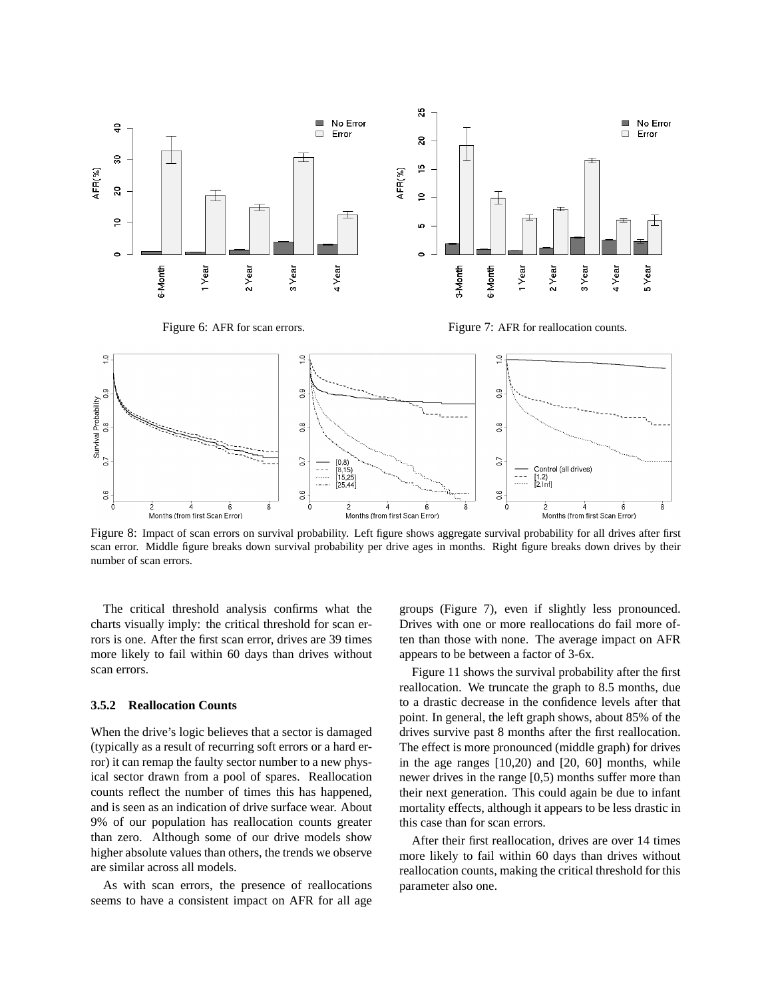

Figure 8: Impact of scan errors on survival probability. Left figure shows aggregate survival probability for all drives after first scan error. Middle figure breaks down survival probability per drive ages in months. Right figure breaks down drives by their number of scan errors.

The critical threshold analysis confirms what the charts visually imply: the critical threshold for scan errors is one. After the first scan error, drives are 39 times more likely to fail within 60 days than drives without scan errors.

#### **3.5.2 Reallocation Counts**

When the drive's logic believes that a sector is damaged (typically as a result of recurring soft errors or a hard error) it can remap the faulty sector number to a new physical sector drawn from a pool of spares. Reallocation counts reflect the number of times this has happened, and is seen as an indication of drive surface wear. About 9% of our population has reallocation counts greater than zero. Although some of our drive models show higher absolute values than others, the trends we observe are similar across all models.

As with scan errors, the presence of reallocations seems to have a consistent impact on AFR for all age groups (Figure 7), even if slightly less pronounced. Drives with one or more reallocations do fail more often than those with none. The average impact on AFR appears to be between a factor of 3-6x.

Figure 11 shows the survival probability after the first reallocation. We truncate the graph to 8.5 months, due to a drastic decrease in the confidence levels after that point. In general, the left graph shows, about 85% of the drives survive past 8 months after the first reallocation. The effect is more pronounced (middle graph) for drives in the age ranges [10,20) and [20, 60] months, while newer drives in the range [0,5) months suffer more than their next generation. This could again be due to infant mortality effects, although it appears to be less drastic in this case than for scan errors.

After their first reallocation, drives are over 14 times more likely to fail within 60 days than drives without reallocation counts, making the critical threshold for this parameter also one.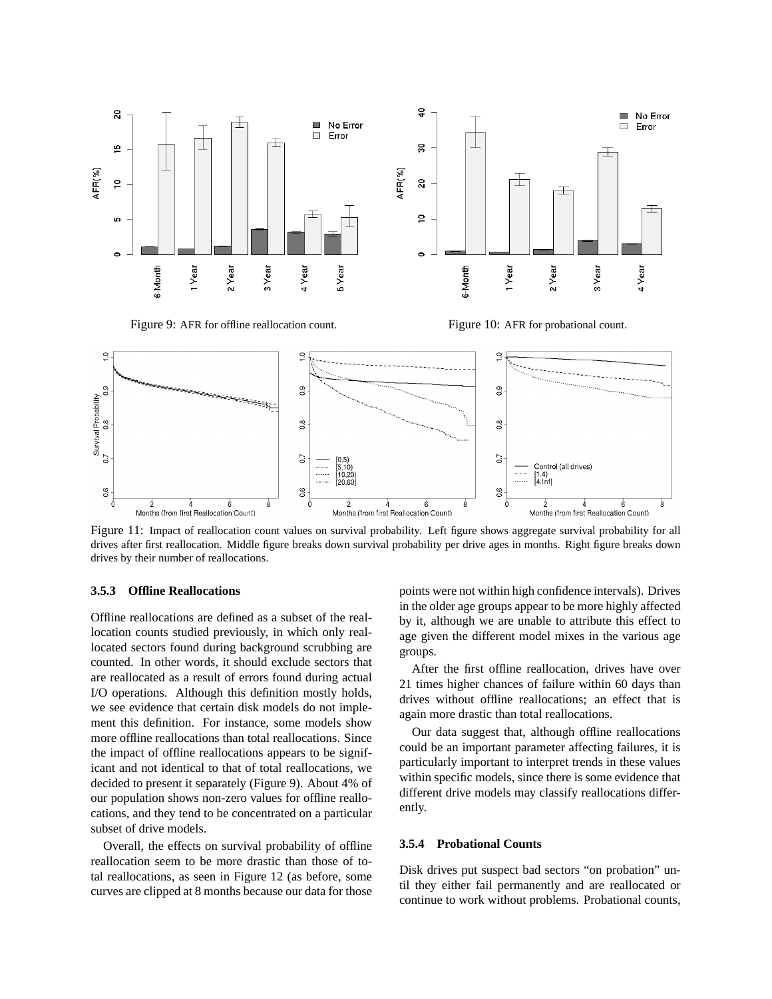

Figure 9: AFR for offline reallocation count. Figure 10: AFR for probational count.



Figure 11: Impact of reallocation count values on survival probability. Left figure shows aggregate survival probability for all drives after first reallocation. Middle figure breaks down survival probability per drive ages in months. Right figure breaks down drives by their number of reallocations.

#### **3.5.3 Offline Reallocations**

Offline reallocations are defined as a subset of the reallocation counts studied previously, in which only reallocated sectors found during background scrubbing are counted. In other words, it should exclude sectors that are reallocated as a result of errors found during actual I/O operations. Although this definition mostly holds, we see evidence that certain disk models do not implement this definition. For instance, some models show more offline reallocations than total reallocations. Since the impact of offline reallocations appears to be significant and not identical to that of total reallocations, we decided to present it separately (Figure 9). About 4% of our population shows non-zero values for offline reallocations, and they tend to be concentrated on a particular subset of drive models.

Overall, the effects on survival probability of offline reallocation seem to be more drastic than those of total reallocations, as seen in Figure 12 (as before, some curves are clipped at 8 months because our data for those points were not within high confidence intervals). Drives in the older age groups appear to be more highly affected by it, although we are unable to attribute this effect to age given the different model mixes in the various age groups.

After the first offline reallocation, drives have over 21 times higher chances of failure within 60 days than drives without offline reallocations; an effect that is again more drastic than total reallocations.

Our data suggest that, although offline reallocations could be an important parameter affecting failures, it is particularly important to interpret trends in these values within specific models, since there is some evidence that different drive models may classify reallocations differently.

#### **3.5.4 Probational Counts**

Disk drives put suspect bad sectors "on probation" until they either fail permanently and are reallocated or continue to work without problems. Probational counts,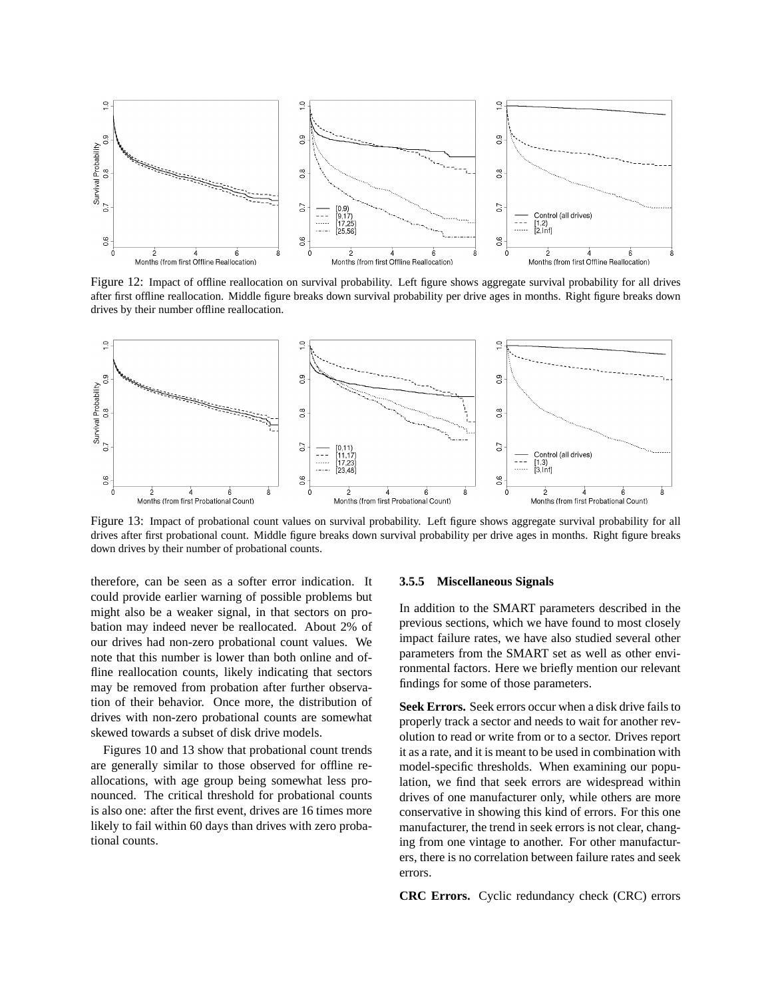

Figure 12: Impact of offline reallocation on survival probability. Left figure shows aggregate survival probability for all drives after first offline reallocation. Middle figure breaks down survival probability per drive ages in months. Right figure breaks down drives by their number offline reallocation.



Figure 13: Impact of probational count values on survival probability. Left figure shows aggregate survival probability for all drives after first probational count. Middle figure breaks down survival probability per drive ages in months. Right figure breaks down drives by their number of probational counts.

therefore, can be seen as a softer error indication. It could provide earlier warning of possible problems but might also be a weaker signal, in that sectors on probation may indeed never be reallocated. About 2% of our drives had non-zero probational count values. We note that this number is lower than both online and offline reallocation counts, likely indicating that sectors may be removed from probation after further observation of their behavior. Once more, the distribution of drives with non-zero probational counts are somewhat skewed towards a subset of disk drive models.

Figures 10 and 13 show that probational count trends are generally similar to those observed for offline reallocations, with age group being somewhat less pronounced. The critical threshold for probational counts is also one: after the first event, drives are 16 times more likely to fail within 60 days than drives with zero probational counts.

#### **3.5.5 Miscellaneous Signals**

In addition to the SMART parameters described in the previous sections, which we have found to most closely impact failure rates, we have also studied several other parameters from the SMART set as well as other environmental factors. Here we briefly mention our relevant findings for some of those parameters.

**Seek Errors.** Seek errors occur when a disk drive fails to properly track a sector and needs to wait for another revolution to read or write from or to a sector. Drives report it as a rate, and it is meant to be used in combination with model-specific thresholds. When examining our population, we find that seek errors are widespread within drives of one manufacturer only, while others are more conservative in showing this kind of errors. For this one manufacturer, the trend in seek errors is not clear, changing from one vintage to another. For other manufacturers, there is no correlation between failure rates and seek errors.

**CRC Errors.** Cyclic redundancy check (CRC) errors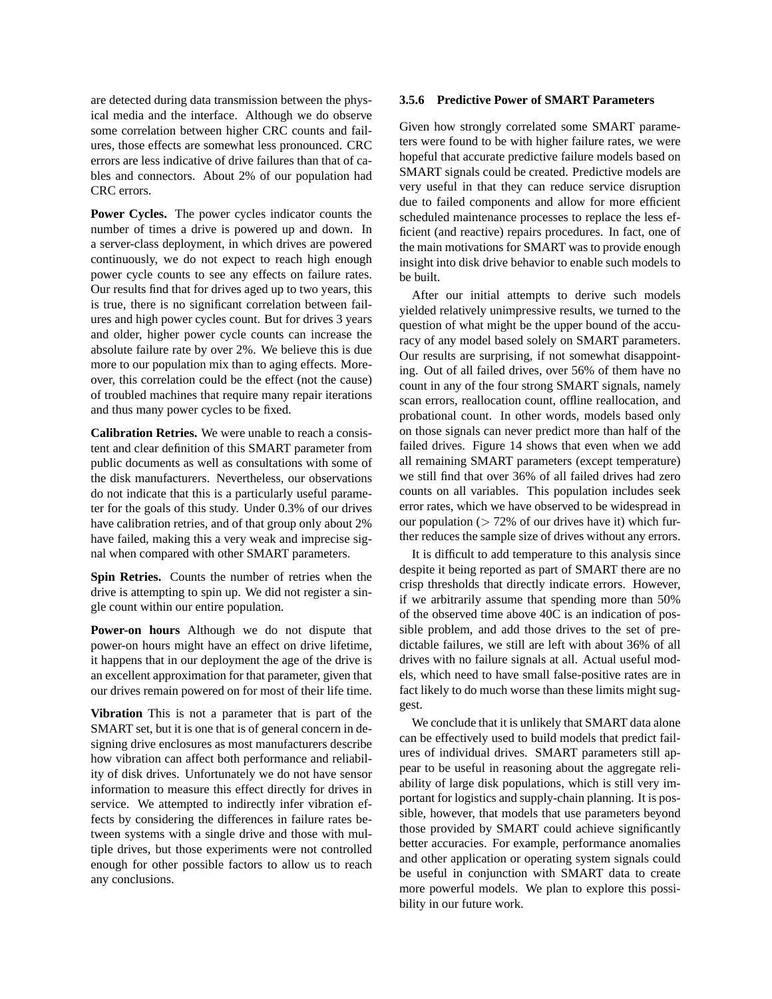are detected during data transmission between the physical media and the interface. Although we do observe some correlation between higher CRC counts and failures, those effects are somewhat less pronounced. CRC errors are less indicative of drive failures than that of cables and connectors. About 2% of our population had CRC errors.

**Power Cycles.** The power cycles indicator counts the number of times a drive is powered up and down. In a server-class deployment, in which drives are powered continuously, we do not expect to reach high enough power cycle counts to see any effects on failure rates. Our results find that for drives aged up to two years, this is true, there is no significant correlation between failures and high power cycles count. But for drives 3 years and older, higher power cycle counts can increase the absolute failure rate by over 2%. We believe this is due more to our population mix than to aging effects. Moreover, this correlation could be the effect (not the cause) of troubled machines that require many repair iterations and thus many power cycles to be fixed.

**Calibration Retries.** We were unable to reach a consistent and clear definition of this SMART parameter from public documents as well as consultations with some of the disk manufacturers. Nevertheless, our observations do not indicate that this is a particularly useful parameter for the goals of this study. Under 0.3% of our drives have calibration retries, and of that group only about 2% have failed, making this a very weak and imprecise signal when compared with other SMART parameters.

**Spin Retries.** Counts the number of retries when the drive is attempting to spin up. We did not register a single count within our entire population.

**Power-on hours** Although we do not dispute that power-on hours might have an effect on drive lifetime, it happens that in our deployment the age of the drive is an excellent approximation for that parameter, given that our drives remain powered on for most of their life time.

**Vibration** This is not a parameter that is part of the SMART set, but it is one that is of general concern in designing drive enclosures as most manufacturers describe how vibration can affect both performance and reliability of disk drives. Unfortunately we do not have sensor information to measure this effect directly for drives in service. We attempted to indirectly infer vibration effects by considering the differences in failure rates between systems with a single drive and those with multiple drives, but those experiments were not controlled enough for other possible factors to allow us to reach any conclusions.

#### **3.5.6 Predictive Power of SMART Parameters**

Given how strongly correlated some SMART parameters were found to be with higher failure rates, we were hopeful that accurate predictive failure models based on SMART signals could be created. Predictive models are very useful in that they can reduce service disruption due to failed components and allow for more efficient scheduled maintenance processes to replace the less efficient (and reactive) repairs procedures. In fact, one of the main motivations for SMART was to provide enough insight into disk drive behavior to enable such models to be built.

After our initial attempts to derive such models yielded relatively unimpressive results, we turned to the question of what might be the upper bound of the accuracy of any model based solely on SMART parameters. Our results are surprising, if not somewhat disappointing. Out of all failed drives, over 56% of them have no count in any of the four strong SMART signals, namely scan errors, reallocation count, offline reallocation, and probational count. In other words, models based only on those signals can never predict more than half of the failed drives. Figure 14 shows that even when we add all remaining SMART parameters (except temperature) we still find that over 36% of all failed drives had zero counts on all variables. This population includes seek error rates, which we have observed to be widespread in our population  $($  > 72% of our drives have it) which further reduces the sample size of drives without any errors.

It is difficult to add temperature to this analysis since despite it being reported as part of SMART there are no crisp thresholds that directly indicate errors. However, if we arbitrarily assume that spending more than 50% of the observed time above 40C is an indication of possible problem, and add those drives to the set of predictable failures, we still are left with about 36% of all drives with no failure signals at all. Actual useful models, which need to have small false-positive rates are in fact likely to do much worse than these limits might suggest.

We conclude that it is unlikely that SMART data alone can be effectively used to build models that predict failures of individual drives. SMART parameters still appear to be useful in reasoning about the aggregate reliability of large disk populations, which is still very important for logistics and supply-chain planning. It is possible, however, that models that use parameters beyond those provided by SMART could achieve significantly better accuracies. For example, performance anomalies and other application or operating system signals could be useful in conjunction with SMART data to create more powerful models. We plan to explore this possibility in our future work.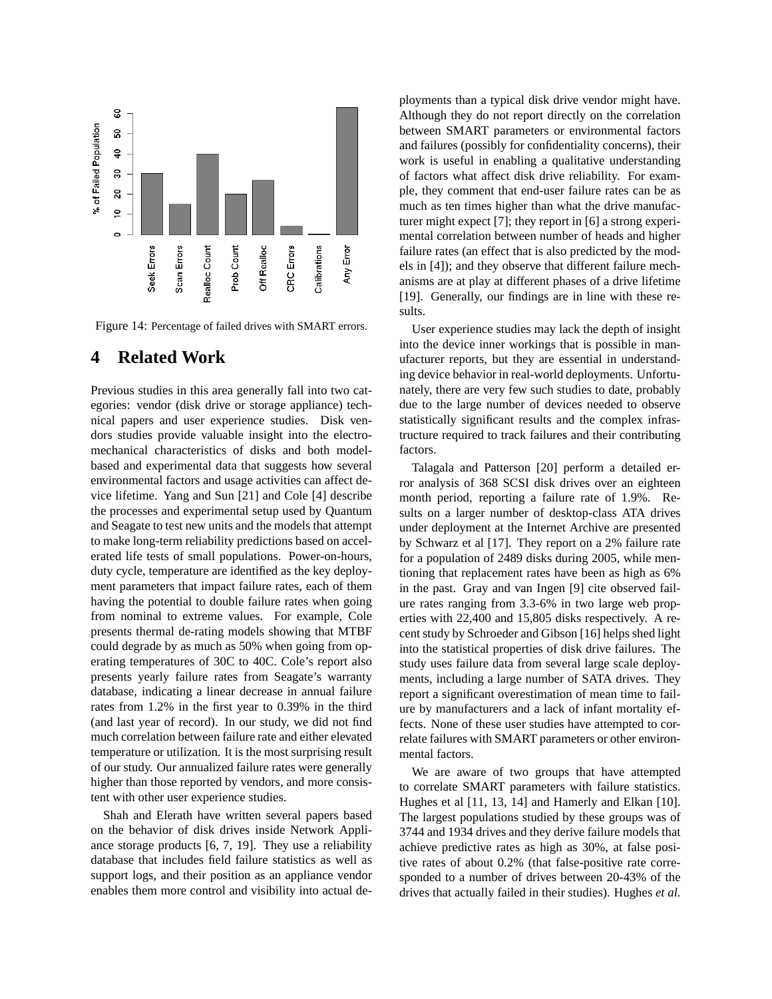

Figure 14: Percentage of failed drives with SMART errors.

### **4 Related Work**

Previous studies in this area generally fall into two categories: vendor (disk drive or storage appliance) technical papers and user experience studies. Disk vendors studies provide valuable insight into the electromechanical characteristics of disks and both modelbased and experimental data that suggests how several environmental factors and usage activities can affect device lifetime. Yang and Sun [21] and Cole [4] describe the processes and experimental setup used by Quantum and Seagate to test new units and the models that attempt to make long-term reliability predictions based on accelerated life tests of small populations. Power-on-hours, duty cycle, temperature are identified as the key deployment parameters that impact failure rates, each of them having the potential to double failure rates when going from nominal to extreme values. For example, Cole presents thermal de-rating models showing that MTBF could degrade by as much as 50% when going from operating temperatures of 30C to 40C. Cole's report also presents yearly failure rates from Seagate's warranty database, indicating a linear decrease in annual failure rates from 1.2% in the first year to 0.39% in the third (and last year of record). In our study, we did not find much correlation between failure rate and either elevated temperature or utilization. It is the most surprising result of our study. Our annualized failure rates were generally higher than those reported by vendors, and more consistent with other user experience studies.

Shah and Elerath have written several papers based on the behavior of disk drives inside Network Appliance storage products [6, 7, 19]. They use a reliability database that includes field failure statistics as well as support logs, and their position as an appliance vendor enables them more control and visibility into actual deployments than a typical disk drive vendor might have. Although they do not report directly on the correlation between SMART parameters or environmental factors and failures (possibly for confidentiality concerns), their work is useful in enabling a qualitative understanding of factors what affect disk drive reliability. For example, they comment that end-user failure rates can be as much as ten times higher than what the drive manufacturer might expect [7]; they report in [6] a strong experimental correlation between number of heads and higher failure rates (an effect that is also predicted by the models in [4]); and they observe that different failure mechanisms are at play at different phases of a drive lifetime [19]. Generally, our findings are in line with these results.

User experience studies may lack the depth of insight into the device inner workings that is possible in manufacturer reports, but they are essential in understanding device behavior in real-world deployments. Unfortunately, there are very few such studies to date, probably due to the large number of devices needed to observe statistically significant results and the complex infrastructure required to track failures and their contributing factors.

Talagala and Patterson [20] perform a detailed error analysis of 368 SCSI disk drives over an eighteen month period, reporting a failure rate of 1.9%. Results on a larger number of desktop-class ATA drives under deployment at the Internet Archive are presented by Schwarz et al [17]. They report on a 2% failure rate for a population of 2489 disks during 2005, while mentioning that replacement rates have been as high as 6% in the past. Gray and van Ingen [9] cite observed failure rates ranging from 3.3-6% in two large web properties with 22,400 and 15,805 disks respectively. A recent study by Schroeder and Gibson [16] helps shed light into the statistical properties of disk drive failures. The study uses failure data from several large scale deployments, including a large number of SATA drives. They report a significant overestimation of mean time to failure by manufacturers and a lack of infant mortality effects. None of these user studies have attempted to correlate failures with SMART parameters or other environmental factors.

We are aware of two groups that have attempted to correlate SMART parameters with failure statistics. Hughes et al [11, 13, 14] and Hamerly and Elkan [10]. The largest populations studied by these groups was of 3744 and 1934 drives and they derive failure models that achieve predictive rates as high as 30%, at false positive rates of about 0.2% (that false-positive rate corresponded to a number of drives between 20-43% of the drives that actually failed in their studies). Hughes *et al.*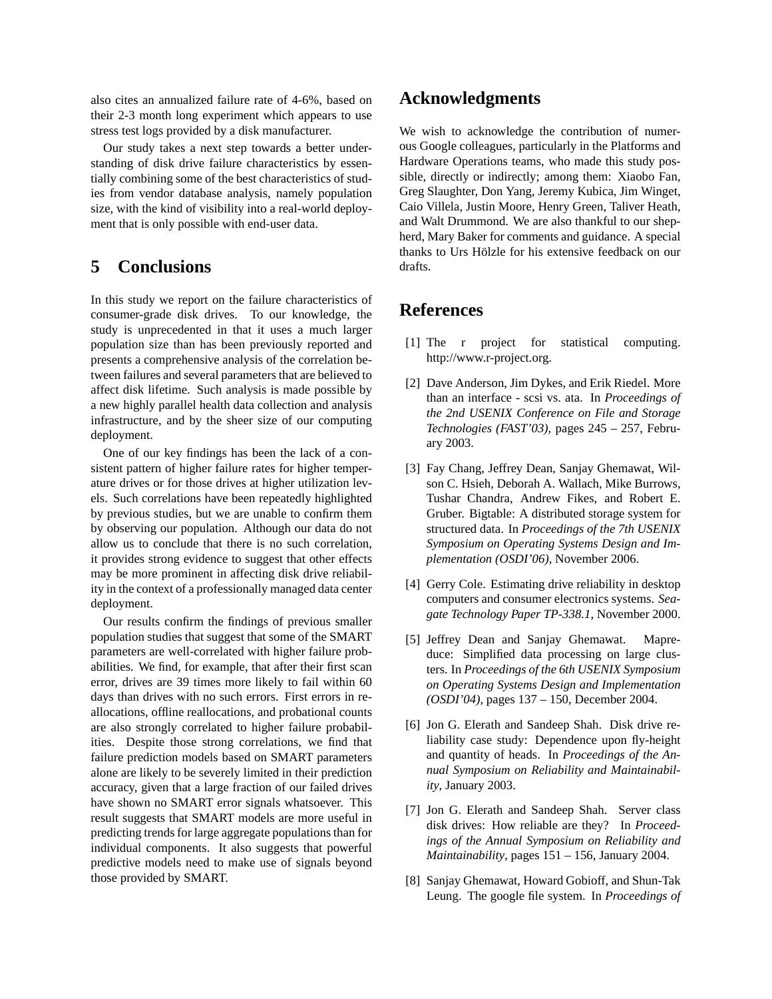also cites an annualized failure rate of 4-6%, based on their 2-3 month long experiment which appears to use stress test logs provided by a disk manufacturer.

Our study takes a next step towards a better understanding of disk drive failure characteristics by essentially combining some of the best characteristics of studies from vendor database analysis, namely population size, with the kind of visibility into a real-world deployment that is only possible with end-user data.

## **5 Conclusions**

In this study we report on the failure characteristics of consumer-grade disk drives. To our knowledge, the study is unprecedented in that it uses a much larger population size than has been previously reported and presents a comprehensive analysis of the correlation between failures and several parameters that are believed to affect disk lifetime. Such analysis is made possible by a new highly parallel health data collection and analysis infrastructure, and by the sheer size of our computing deployment.

One of our key findings has been the lack of a consistent pattern of higher failure rates for higher temperature drives or for those drives at higher utilization levels. Such correlations have been repeatedly highlighted by previous studies, but we are unable to confirm them by observing our population. Although our data do not allow us to conclude that there is no such correlation, it provides strong evidence to suggest that other effects may be more prominent in affecting disk drive reliability in the context of a professionally managed data center deployment.

Our results confirm the findings of previous smaller population studies that suggest that some of the SMART parameters are well-correlated with higher failure probabilities. We find, for example, that after their first scan error, drives are 39 times more likely to fail within 60 days than drives with no such errors. First errors in reallocations, offline reallocations, and probational counts are also strongly correlated to higher failure probabilities. Despite those strong correlations, we find that failure prediction models based on SMART parameters alone are likely to be severely limited in their prediction accuracy, given that a large fraction of our failed drives have shown no SMART error signals whatsoever. This result suggests that SMART models are more useful in predicting trends for large aggregate populations than for individual components. It also suggests that powerful predictive models need to make use of signals beyond those provided by SMART.

## **Acknowledgments**

We wish to acknowledge the contribution of numerous Google colleagues, particularly in the Platforms and Hardware Operations teams, who made this study possible, directly or indirectly; among them: Xiaobo Fan, Greg Slaughter, Don Yang, Jeremy Kubica, Jim Winget, Caio Villela, Justin Moore, Henry Green, Taliver Heath, and Walt Drummond. We are also thankful to our shepherd, Mary Baker for comments and guidance. A special thanks to Urs Hölzle for his extensive feedback on our drafts.

## **References**

- [1] The r project for statistical computing. http://www.r-project.org.
- [2] Dave Anderson, Jim Dykes, and Erik Riedel. More than an interface - scsi vs. ata. In *Proceedings of the 2nd USENIX Conference on File and Storage Technologies (FAST'03)*, pages 245 – 257, February 2003.
- [3] Fay Chang, Jeffrey Dean, Sanjay Ghemawat, Wilson C. Hsieh, Deborah A. Wallach, Mike Burrows, Tushar Chandra, Andrew Fikes, and Robert E. Gruber. Bigtable: A distributed storage system for structured data. In *Proceedings of the 7th USENIX Symposium on Operating Systems Design and Implementation (OSDI'06)*, November 2006.
- [4] Gerry Cole. Estimating drive reliability in desktop computers and consumer electronics systems. *Seagate Technology Paper TP-338.1*, November 2000.
- [5] Jeffrey Dean and Sanjay Ghemawat. Mapreduce: Simplified data processing on large clusters. In *Proceedings of the 6th USENIX Symposium on Operating Systems Design and Implementation (OSDI'04)*, pages 137 – 150, December 2004.
- [6] Jon G. Elerath and Sandeep Shah. Disk drive reliability case study: Dependence upon fly-height and quantity of heads. In *Proceedings of the Annual Symposium on Reliability and Maintainability*, January 2003.
- [7] Jon G. Elerath and Sandeep Shah. Server class disk drives: How reliable are they? In *Proceedings of the Annual Symposium on Reliability and Maintainability*, pages 151 – 156, January 2004.
- [8] Sanjay Ghemawat, Howard Gobioff, and Shun-Tak Leung. The google file system. In *Proceedings of*